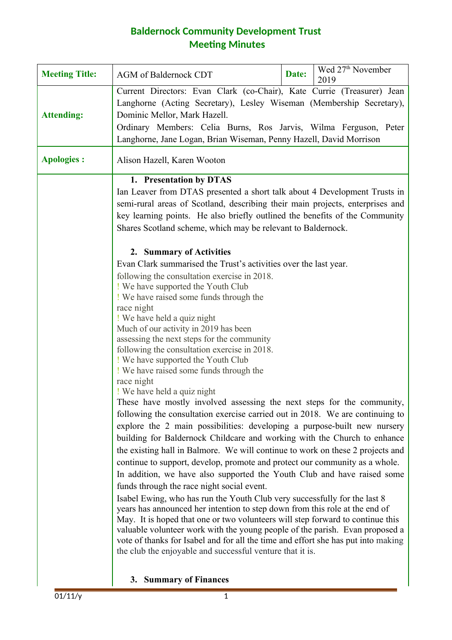## **Baldernock Community Development Trust Meeting Minutes**

| <b>Meeting Title:</b> | Wed 27 <sup>th</sup> November<br>Date:<br><b>AGM</b> of Baldernock CDT<br>2019                                                                                                                                                                                                                                                                                                                                                                                                                                                                                                                                                                                                                                                                                                                                                                                                                                                                                                                                                                                                            |
|-----------------------|-------------------------------------------------------------------------------------------------------------------------------------------------------------------------------------------------------------------------------------------------------------------------------------------------------------------------------------------------------------------------------------------------------------------------------------------------------------------------------------------------------------------------------------------------------------------------------------------------------------------------------------------------------------------------------------------------------------------------------------------------------------------------------------------------------------------------------------------------------------------------------------------------------------------------------------------------------------------------------------------------------------------------------------------------------------------------------------------|
| <b>Attending:</b>     | Current Directors: Evan Clark (co-Chair), Kate Currie (Treasurer) Jean<br>Langhorne (Acting Secretary), Lesley Wiseman (Membership Secretary),<br>Dominic Mellor, Mark Hazell.<br>Ordinary Members: Celia Burns, Ros Jarvis, Wilma Ferguson, Peter<br>Langhorne, Jane Logan, Brian Wiseman, Penny Hazell, David Morrison                                                                                                                                                                                                                                                                                                                                                                                                                                                                                                                                                                                                                                                                                                                                                                  |
| <b>Apologies:</b>     | Alison Hazell, Karen Wooton                                                                                                                                                                                                                                                                                                                                                                                                                                                                                                                                                                                                                                                                                                                                                                                                                                                                                                                                                                                                                                                               |
|                       | 1. Presentation by DTAS<br>Ian Leaver from DTAS presented a short talk about 4 Development Trusts in<br>semi-rural areas of Scotland, describing their main projects, enterprises and<br>key learning points. He also briefly outlined the benefits of the Community<br>Shares Scotland scheme, which may be relevant to Baldernock.<br>2. Summary of Activities<br>Evan Clark summarised the Trust's activities over the last year.<br>following the consultation exercise in 2018.                                                                                                                                                                                                                                                                                                                                                                                                                                                                                                                                                                                                      |
|                       | ! We have supported the Youth Club<br>! We have raised some funds through the<br>race night<br>! We have held a quiz night<br>Much of our activity in 2019 has been<br>assessing the next steps for the community<br>following the consultation exercise in 2018.<br>! We have supported the Youth Club<br>! We have raised some funds through the<br>race night<br>! We have held a quiz night                                                                                                                                                                                                                                                                                                                                                                                                                                                                                                                                                                                                                                                                                           |
|                       | These have mostly involved assessing the next steps for the community,<br>following the consultation exercise carried out in 2018. We are continuing to<br>explore the 2 main possibilities: developing a purpose-built new nursery<br>building for Baldernock Childcare and working with the Church to enhance<br>the existing hall in Balmore. We will continue to work on these 2 projects and<br>continue to support, develop, promote and protect our community as a whole.<br>In addition, we have also supported the Youth Club and have raised some<br>funds through the race night social event.<br>Isabel Ewing, who has run the Youth Club very successfully for the last 8<br>years has announced her intention to step down from this role at the end of<br>May. It is hoped that one or two volunteers will step forward to continue this<br>valuable volunteer work with the young people of the parish. Evan proposed a<br>vote of thanks for Isabel and for all the time and effort she has put into making<br>the club the enjoyable and successful venture that it is. |

**3. Summary of Finances**